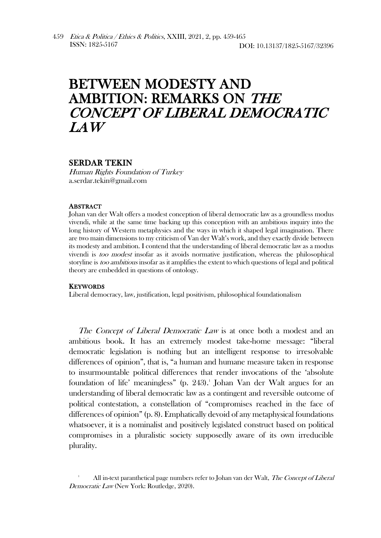## BETWEEN MODESTY AND AMBITION: REMARKS ON THE CONCEPT OF LIBERAL DEMOCRATIC LAW

## SERDAR TEKIN

Human Rights Foundation of Turkey a.serdar.tekin@gmail.com

## **ABSTRACT**

Johan van der Walt offers a modest conception of liberal democratic law as a groundless modus vivendi, while at the same time backing up this conception with an ambitious inquiry into the long history of Western metaphysics and the ways in which it shaped legal imagination. There are two main dimensions to my criticism of Van der Walt's work, and they exactly divide between its modesty and ambition. I contend that the understanding of liberal democratic law as a modus vivendi is too modest insofar as it avoids normative justification, whereas the philosophical storyline is *too ambitious* insofar as it amplifies the extent to which questions of legal and political theory are embedded in questions of ontology.

## **KEYWORDS**

Liberal democracy, law, justification, legal positivism, philosophical foundationalism

The Concept of Liberal Democratic Law is at once both a modest and an ambitious book. It has an extremely modest take-home message: "liberal democratic legislation is nothing but an intelligent response to irresolvable differences of opinion", that is, "a human and humane measure taken in response to insurmountable political differences that render invocations of the 'absolute foundation of life' meaningless" (p. 243).<sup>1</sup> Johan Van der Walt argues for an understanding of liberal democratic law as a contingent and reversible outcome of political contestation, a constellation of "compromises reached in the face of differences of opinion" (p. 8). Emphatically devoid of any metaphysical foundations whatsoever, it is a nominalist and positively legislated construct based on political compromises in a pluralistic society supposedly aware of its own irreducible plurality.

All in-text paranthetical page numbers refer to Johan van der Walt, The Concept of Liberal Democratic Law (New York: Routledge, 2020).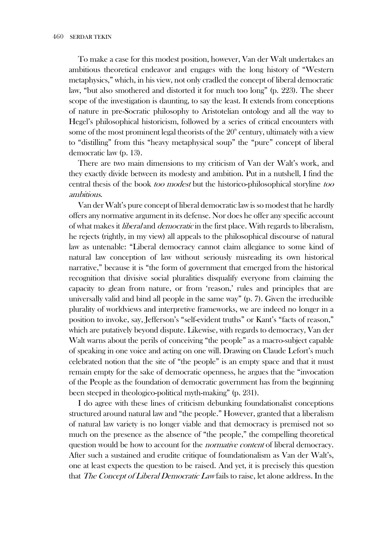To make a case for this modest position, however, Van der Walt undertakes an ambitious theoretical endeavor and engages with the long history of "Western metaphysics," which, in his view, not only cradled the concept of liberal democratic law, "but also smothered and distorted it for much too long" (p. 223). The sheer scope of the investigation is daunting, to say the least. It extends from conceptions of nature in pre-Socratic philosophy to Aristotelian ontology and all the way to Hegel's philosophical historicism, followed by a series of critical encounters with some of the most prominent legal theorists of the  $20<sup>th</sup>$  century, ultimately with a view to "distilling" from this "heavy metaphysical soup" the "pure" concept of liberal democratic law (p. 13).

There are two main dimensions to my criticism of Van der Walt's work, and they exactly divide between its modesty and ambition. Put in a nutshell, I find the central thesis of the book too modest but the historico-philosophical storyline too ambitious.

Van der Walt's pure concept of liberal democratic law is so modest that he hardly offers any normative argument in its defense. Nor does he offer any specific account of what makes it *liberal* and *democratic* in the first place. With regards to liberalism, he rejects (rightly, in my view) all appeals to the philosophical discourse of natural law as untenable: "Liberal democracy cannot claim allegiance to some kind of natural law conception of law without seriously misreading its own historical narrative," because it is "the form of government that emerged from the historical recognition that divisive social pluralities disqualify everyone from claiming the capacity to glean from nature, or from 'reason,' rules and principles that are universally valid and bind all people in the same way" (p. 7). Given the irreducible plurality of worldviews and interpretive frameworks, we are indeed no longer in a position to invoke, say, Jefferson's "self-evident truths" or Kant's "facts of reason," which are putatively beyond dispute. Likewise, with regards to democracy, Van der Walt warns about the perils of conceiving "the people" as a macro-subject capable of speaking in one voice and acting on one will. Drawing on Claude Lefort's much celebrated notion that the site of "the people" is an empty space and that it must remain empty for the sake of democratic openness, he argues that the "invocation of the People as the foundation of democratic government has from the beginning been steeped in theologico-political myth-making" (p. 231).

I do agree with these lines of criticism debunking foundationalist conceptions structured around natural law and "the people." However, granted that a liberalism of natural law variety is no longer viable and that democracy is premised not so much on the presence as the absence of "the people," the compelling theoretical question would be how to account for the *normative content* of liberal democracy. After such a sustained and erudite critique of foundationalism as Van der Walt's, one at least expects the question to be raised. And yet, it is precisely this question that The Concept of Liberal Democratic Law fails to raise, let alone address. In the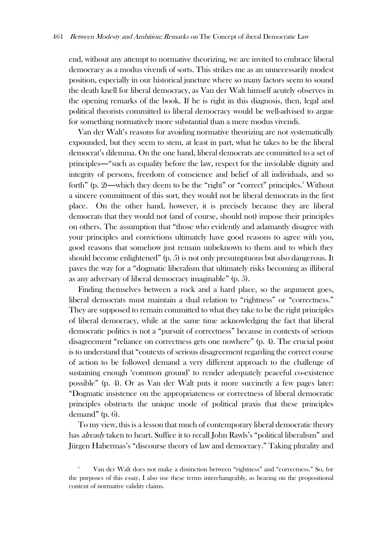end, without any attempt to normative theorizing, we are invited to embrace liberal democracy as a modus vivendi of sorts. This strikes me as an unnecessarily modest position, especially in our historical juncture where so many factors seem to sound the death knell for liberal democracy, as Van der Walt himself acutely observes in the opening remarks of the book. If he is right in this diagnosis, then, legal and political theorists committed to liberal democracy would be well-advised to argue for something normatively more substantial than a mere modus vivendi.

Van der Walt's reasons for avoiding normative theorizing are not systematically expounded, but they seem to stem, at least in part, what he takes to be the liberal democrat's dilemma. On the one hand, liberal democrats are committed to a set of principles―"such as equality before the law, respect for the inviolable dignity and integrity of persons, freedom of conscience and belief of all individuals, and so forth" (p. 2)—which they deem to be the "right" or "correct" principles.<sup>2</sup> Without a sincere commitment of this sort, they would not be liberal democrats in the first place. On the other hand, however, it is precisely because they are liberal democrats that they would not (and of course, should not) impose their principles on others. The assumption that "those who evidently and adamantly disagree with your principles and convictions ultimately have good reasons to agree with you, good reasons that somehow just remain unbeknown to them and to which they should become enlightened" (p. 5) is not only presumptuous but also dangerous. It paves the way for a "dogmatic liberalism that ultimately risks becoming as illiberal as any adversary of liberal democracy imaginable" (p. 5).

Finding themselves between a rock and a hard place, so the argument goes, liberal democrats must maintain a dual relation to "rightness" or "correctness." They are supposed to remain committed to what they take to be the right principles of liberal democracy, while at the same time acknowledging the fact that liberal democratic politics is not a "pursuit of correctness" because in contexts of serious disagreement "reliance on correctness gets one nowhere" (p. 4). The crucial point is to understand that "contexts of serious disagreement regarding the correct course of action to be followed demand a very different approach to the challenge of sustaining enough 'common ground' to render adequately peaceful co-existence possible" (p. 4). Or as Van der Walt puts it more succinctly a few pages later: "Dogmatic insistence on the appropriateness or correctness of liberal democratic principles obstructs the unique mode of political praxis that these principles demand" (p. 6).

To my view, this is a lesson that much of contemporary liberal democratic theory has *already* taken to heart. Suffice it to recall John Rawls's "political liberalism" and Jürgen Habermas's "discourse theory of law and democracy." Taking plurality and

<sup>2</sup> Van der Walt does not make a distinction between "rightness" and "correctness." So, for the purposes of this essay, I also use these terms interchangeably, as bearing on the propositional content of normative validity claims.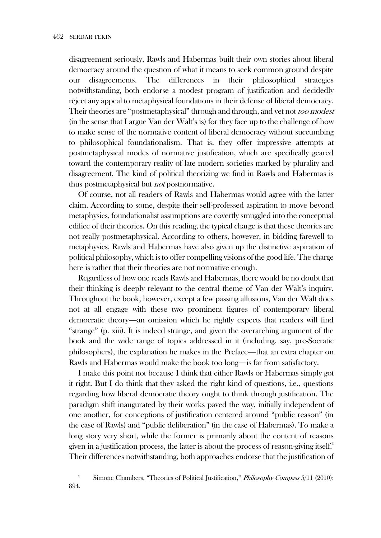disagreement seriously, Rawls and Habermas built their own stories about liberal democracy around the question of what it means to seek common ground despite our disagreements. The differences in their philosophical strategies notwithstanding, both endorse a modest program of justification and decidedly reject any appeal to metaphysical foundations in their defense of liberal democracy. Their theories are "postmetaphysical" through and through, and yet not too modest (in the sense that I argue Van der Walt's is) for they face up to the challenge of how to make sense of the normative content of liberal democracy without succumbing to philosophical foundationalism. That is, they offer impressive attempts at postmetaphysical modes of normative justification, which are specifically geared toward the contemporary reality of late modern societies marked by plurality and disagreement. The kind of political theorizing we find in Rawls and Habermas is thus postmetaphysical but *not* postnormative.

Of course, not all readers of Rawls and Habermas would agree with the latter claim. According to some, despite their self-professed aspiration to move beyond metaphysics, foundationalist assumptions are covertly smuggled into the conceptual edifice of their theories. On this reading, the typical charge is that these theories are not really postmetaphysical. According to others, however, in bidding farewell to metaphysics, Rawls and Habermas have also given up the distinctive aspiration of political philosophy, which is to offer compelling visions of the good life. The charge here is rather that their theories are not normative enough.

Regardless of how one reads Rawls and Habermas, there would be no doubt that their thinking is deeply relevant to the central theme of Van der Walt's inquiry. Throughout the book, however, except a few passing allusions, Van der Walt does not at all engage with these two prominent figures of contemporary liberal democratic theory―an omission which he rightly expects that readers will find "strange" (p. xiii). It is indeed strange, and given the overarching argument of the book and the wide range of topics addressed in it (including, say, pre-Socratic philosophers), the explanation he makes in the Preface―that an extra chapter on Rawls and Habermas would make the book too long―is far from satisfactory.

I make this point not because I think that either Rawls or Habermas simply got it right. But I do think that they asked the right kind of questions, i.e., questions regarding how liberal democratic theory ought to think through justification. The paradigm shift inaugurated by their works paved the way, initially independent of one another, for conceptions of justification centered around "public reason" (in the case of Rawls) and "public deliberation" (in the case of Habermas). To make a long story very short, while the former is primarily about the content of reasons given in a justification process, the latter is about the process of reason-giving itself.<sup>3</sup> Their differences notwithstanding, both approaches endorse that the justification of

<sup>3</sup> Simone Chambers, "Theories of Political Justification," Philosophy Compass 5/11 (2010): 894.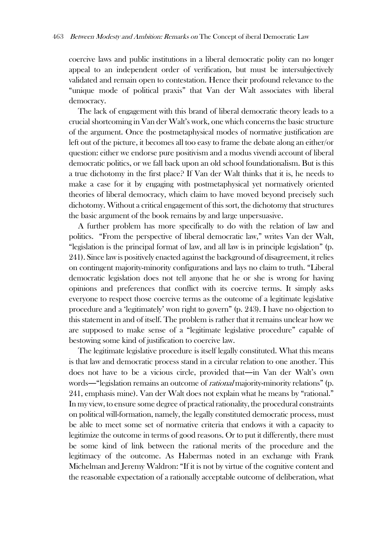coercive laws and public institutions in a liberal democratic polity can no longer appeal to an independent order of verification, but must be intersubjectively validated and remain open to contestation. Hence their profound relevance to the "unique mode of political praxis" that Van der Walt associates with liberal democracy.

The lack of engagement with this brand of liberal democratic theory leads to a crucial shortcoming in Van der Walt's work, one which concerns the basic structure of the argument. Once the postmetaphysical modes of normative justification are left out of the picture, it becomes all too easy to frame the debate along an either/or question: either we endorse pure positivism and a modus vivendi account of liberal democratic politics, or we fall back upon an old school foundationalism. But is this a true dichotomy in the first place? If Van der Walt thinks that it is, he needs to make a case for it by engaging with postmetaphysical yet normatively oriented theories of liberal democracy, which claim to have moved beyond precisely such dichotomy. Without a critical engagement of this sort, the dichotomy that structures the basic argument of the book remains by and large unpersuasive.

A further problem has more specifically to do with the relation of law and politics. "From the perspective of liberal democratic law," writes Van der Walt, "legislation is the principal format of law, and all law is in principle legislation" (p. 241). Since law is positively enacted against the background of disagreement, it relies on contingent majority-minority configurations and lays no claim to truth. "Liberal democratic legislation does not tell anyone that he or she is wrong for having opinions and preferences that conflict with its coercive terms. It simply asks everyone to respect those coercive terms as the outcome of a legitimate legislative procedure and a 'legitimately' won right to govern" (p. 243). I have no objection to this statement in and of itself. The problem is rather that it remains unclear how we are supposed to make sense of a "legitimate legislative procedure" capable of bestowing some kind of justification to coercive law.

The legitimate legislative procedure is itself legally constituted. What this means is that law and democratic process stand in a circular relation to one another. This does not have to be a vicious circle, provided that―in Van der Walt's own words—"legislation remains an outcome of *rational* majority-minority relations" (p. 241, emphasis mine). Van der Walt does not explain what he means by "rational." In my view, to ensure some degree of practical rationality, the procedural constraints on political will-formation, namely, the legally constituted democratic process, must be able to meet some set of normative criteria that endows it with a capacity to legitimize the outcome in terms of good reasons. Or to put it differently, there must be some kind of link between the rational merits of the procedure and the legitimacy of the outcome. As Habermas noted in an exchange with Frank Michelman and Jeremy Waldron: "If it is not by virtue of the cognitive content and the reasonable expectation of a rationally acceptable outcome of deliberation, what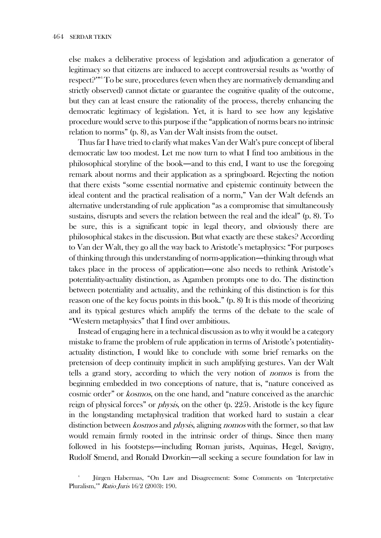else makes a deliberative process of legislation and adjudication a generator of legitimacy so that citizens are induced to accept controversial results as 'worthy of respect?'"<sup>4</sup> To be sure, procedures (even when they are normatively demanding and strictly observed) cannot dictate or guarantee the cognitive quality of the outcome, but they can at least ensure the rationality of the process, thereby enhancing the democratic legitimacy of legislation. Yet, it is hard to see how any legislative procedure would serve to this purpose if the "application of norms bears no intrinsic relation to norms" (p. 8), as Van der Walt insists from the outset.

Thus far I have tried to clarify what makes Van der Walt's pure concept of liberal democratic law too modest. Let me now turn to what I find too ambitious in the philosophical storyline of the book―and to this end, I want to use the foregoing remark about norms and their application as a springboard. Rejecting the notion that there exists "some essential normative and epistemic continuity between the ideal content and the practical realisation of a norm," Van der Walt defends an alternative understanding of rule application "as a compromise that simultaneously sustains, disrupts and severs the relation between the real and the ideal" (p. 8). To be sure, this is a significant topic in legal theory, and obviously there are philosophical stakes in the discussion. But what exactly are these stakes? According to Van der Walt, they go all the way back to Aristotle's metaphysics: "For purposes of thinking through this understanding of norm-application―thinking through what takes place in the process of application―one also needs to rethink Aristotle's potentiality-actuality distinction, as Agamben prompts one to do. The distinction between potentiality and actuality, and the rethinking of this distinction is for this reason one of the key focus points in this book." (p. 8) It is this mode of theorizing and its typical gestures which amplify the terms of the debate to the scale of "Western metaphysics" that I find over ambitious.

Instead of engaging here in a technical discussion as to why it would be a category mistake to frame the problem of rule application in terms of Aristotle's potentialityactuality distinction, I would like to conclude with some brief remarks on the pretension of deep continuity implicit in such amplifying gestures. Van der Walt tells a grand story, according to which the very notion of nomos is from the beginning embedded in two conceptions of nature, that is, "nature conceived as cosmic order" or kosmos, on the one hand, and "nature conceived as the anarchic reign of physical forces" or *physis*, on the other (p. 225). Aristotle is the key figure in the longstanding metaphysical tradition that worked hard to sustain a clear distinction between kosmos and physis, aligning nomos with the former, so that law would remain firmly rooted in the intrinsic order of things. Since then many followed in his footsteps―including Roman jurists, Aquinas, Hegel, Savigny, Rudolf Smend, and Ronald Dworkin―all seeking a secure foundation for law in

<sup>4</sup> Jürgen Habermas, "On Law and Disagreement: Some Comments on 'Interpretative Pluralism,'" Ratio Juris 16/2 (2003): 190.